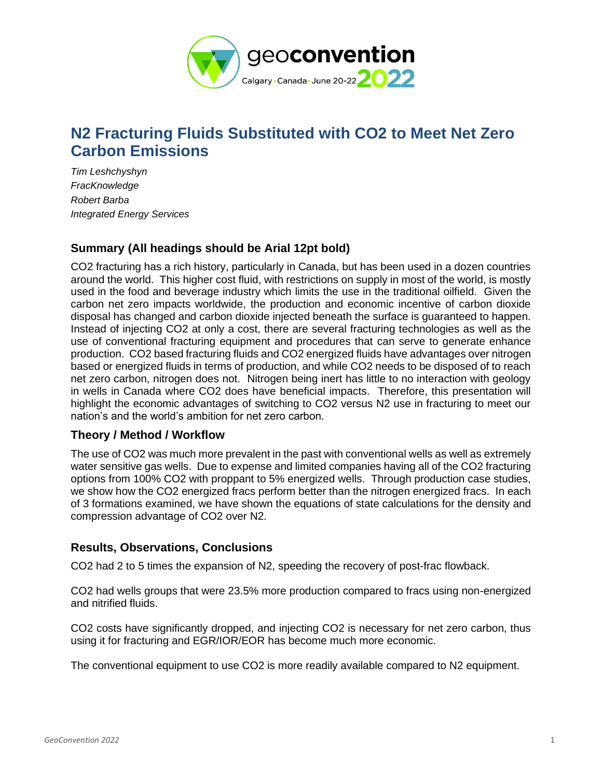

# **N2 Fracturing Fluids Substituted with CO2 to Meet Net Zero Carbon Emissions**

*Tim Leshchyshyn FracKnowledge Robert Barba Integrated Energy Services*

## **Summary (All headings should be Arial 12pt bold)**

CO2 fracturing has a rich history, particularly in Canada, but has been used in a dozen countries around the world. This higher cost fluid, with restrictions on supply in most of the world, is mostly used in the food and beverage industry which limits the use in the traditional oilfield. Given the carbon net zero impacts worldwide, the production and economic incentive of carbon dioxide disposal has changed and carbon dioxide injected beneath the surface is guaranteed to happen. Instead of injecting CO2 at only a cost, there are several fracturing technologies as well as the use of conventional fracturing equipment and procedures that can serve to generate enhance production. CO2 based fracturing fluids and CO2 energized fluids have advantages over nitrogen based or energized fluids in terms of production, and while CO2 needs to be disposed of to reach net zero carbon, nitrogen does not. Nitrogen being inert has little to no interaction with geology in wells in Canada where CO2 does have beneficial impacts. Therefore, this presentation will highlight the economic advantages of switching to CO2 versus N2 use in fracturing to meet our nation's and the world's ambition for net zero carbon.

### **Theory / Method / Workflow**

The use of CO2 was much more prevalent in the past with conventional wells as well as extremely water sensitive gas wells. Due to expense and limited companies having all of the CO2 fracturing options from 100% CO2 with proppant to 5% energized wells. Through production case studies, we show how the CO2 energized fracs perform better than the nitrogen energized fracs. In each of 3 formations examined, we have shown the equations of state calculations for the density and compression advantage of CO2 over N2.

### **Results, Observations, Conclusions**

CO2 had 2 to 5 times the expansion of N2, speeding the recovery of post-frac flowback.

CO2 had wells groups that were 23.5% more production compared to fracs using non-energized and nitrified fluids.

CO2 costs have significantly dropped, and injecting CO2 is necessary for net zero carbon, thus using it for fracturing and EGR/IOR/EOR has become much more economic.

The conventional equipment to use CO2 is more readily available compared to N2 equipment.